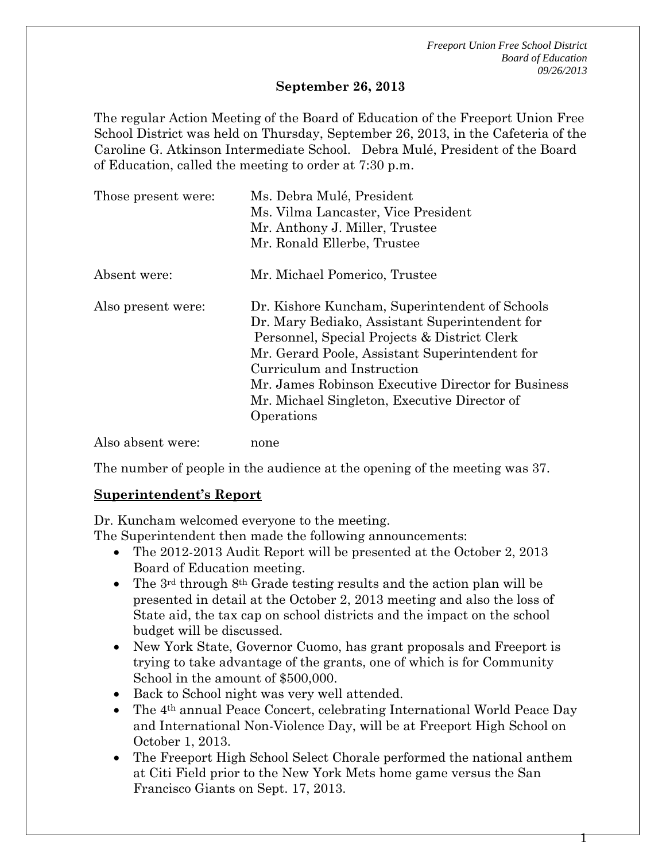#### **September 26, 2013**

The regular Action Meeting of the Board of Education of the Freeport Union Free School District was held on Thursday, September 26, 2013, in the Cafeteria of the Caroline G. Atkinson Intermediate School. Debra Mulé, President of the Board of Education, called the meeting to order at 7:30 p.m.

| Those present were: | Ms. Debra Mulé, President<br>Ms. Vilma Lancaster, Vice President<br>Mr. Anthony J. Miller, Trustee<br>Mr. Ronald Ellerbe, Trustee                                                                                                                                                                                                                    |
|---------------------|------------------------------------------------------------------------------------------------------------------------------------------------------------------------------------------------------------------------------------------------------------------------------------------------------------------------------------------------------|
| Absent were:        | Mr. Michael Pomerico, Trustee                                                                                                                                                                                                                                                                                                                        |
| Also present were:  | Dr. Kishore Kuncham, Superintendent of Schools<br>Dr. Mary Bediako, Assistant Superintendent for<br>Personnel, Special Projects & District Clerk<br>Mr. Gerard Poole, Assistant Superintendent for<br>Curriculum and Instruction<br>Mr. James Robinson Executive Director for Business<br>Mr. Michael Singleton, Executive Director of<br>Operations |
| Also absent were:   | none                                                                                                                                                                                                                                                                                                                                                 |

The number of people in the audience at the opening of the meeting was 37.

### **Superintendent's Report**

Dr. Kuncham welcomed everyone to the meeting.

The Superintendent then made the following announcements:

- The 2012-2013 Audit Report will be presented at the October 2, 2013 Board of Education meeting.
- The  $3<sup>rd</sup>$  through  $8<sup>th</sup>$  Grade testing results and the action plan will be presented in detail at the October 2, 2013 meeting and also the loss of State aid, the tax cap on school districts and the impact on the school budget will be discussed.
- New York State, Governor Cuomo, has grant proposals and Freeport is trying to take advantage of the grants, one of which is for Community School in the amount of \$500,000.
- Back to School night was very well attended.
- The 4th annual Peace Concert, celebrating International World Peace Day and International Non-Violence Day, will be at Freeport High School on October 1, 2013.
- The Freeport High School Select Chorale performed the national anthem at Citi Field prior to the New York Mets home game versus the San Francisco Giants on Sept. 17, 2013.

Т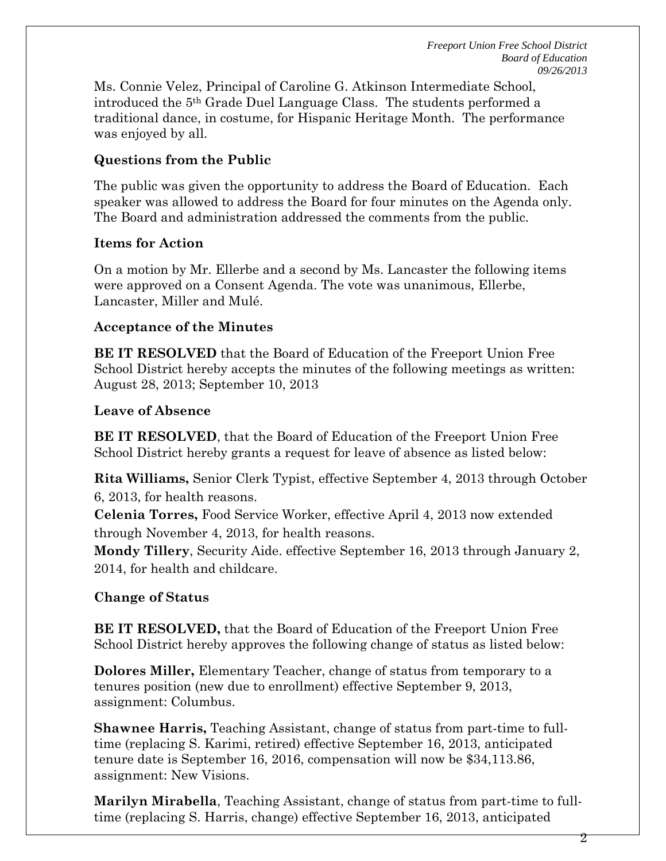Ms. Connie Velez, Principal of Caroline G. Atkinson Intermediate School, introduced the 5th Grade Duel Language Class. The students performed a traditional dance, in costume, for Hispanic Heritage Month. The performance was enjoyed by all.

## **Questions from the Public**

The public was given the opportunity to address the Board of Education. Each speaker was allowed to address the Board for four minutes on the Agenda only. The Board and administration addressed the comments from the public.

#### **Items for Action**

On a motion by Mr. Ellerbe and a second by Ms. Lancaster the following items were approved on a Consent Agenda. The vote was unanimous, Ellerbe, Lancaster, Miller and Mulé.

#### **Acceptance of the Minutes**

**BE IT RESOLVED** that the Board of Education of the Freeport Union Free School District hereby accepts the minutes of the following meetings as written: August 28, 2013; September 10, 2013

#### **Leave of Absence**

**BE IT RESOLVED**, that the Board of Education of the Freeport Union Free School District hereby grants a request for leave of absence as listed below:

**Rita Williams,** Senior Clerk Typist, effective September 4, 2013 through October 6, 2013, for health reasons.

**Celenia Torres,** Food Service Worker, effective April 4, 2013 now extended through November 4, 2013, for health reasons.

**Mondy Tillery**, Security Aide. effective September 16, 2013 through January 2, 2014, for health and childcare.

### **Change of Status**

**BE IT RESOLVED,** that the Board of Education of the Freeport Union Free School District hereby approves the following change of status as listed below:

**Dolores Miller,** Elementary Teacher, change of status from temporary to a tenures position (new due to enrollment) effective September 9, 2013, assignment: Columbus.

**Shawnee Harris,** Teaching Assistant, change of status from part-time to fulltime (replacing S. Karimi, retired) effective September 16, 2013, anticipated tenure date is September 16, 2016, compensation will now be \$34,113.86, assignment: New Visions.

**Marilyn Mirabella**, Teaching Assistant, change of status from part-time to fulltime (replacing S. Harris, change) effective September 16, 2013, anticipated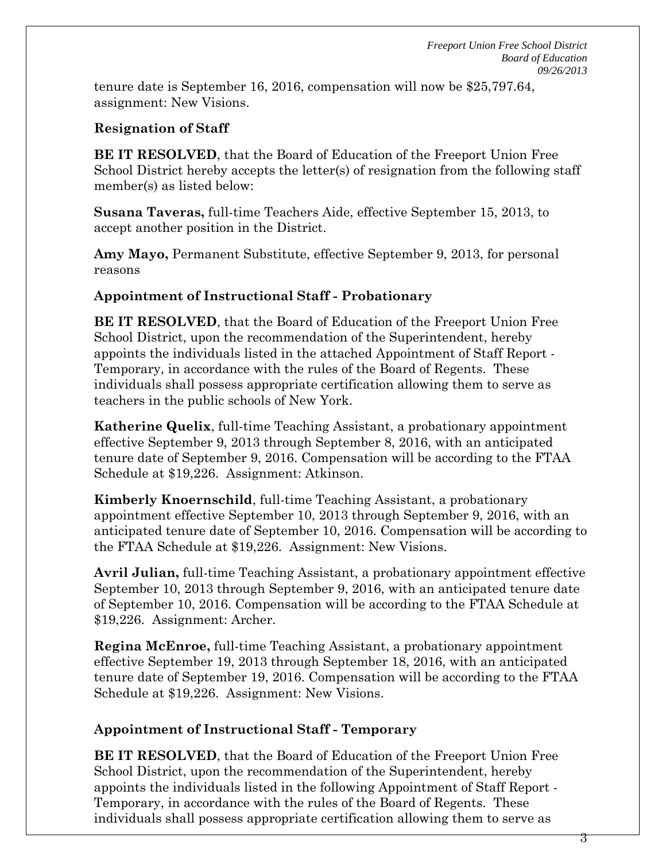tenure date is September 16, 2016, compensation will now be \$25,797.64, assignment: New Visions.

## **Resignation of Staff**

**BE IT RESOLVED**, that the Board of Education of the Freeport Union Free School District hereby accepts the letter(s) of resignation from the following staff member(s) as listed below:

**Susana Taveras,** full-time Teachers Aide, effective September 15, 2013, to accept another position in the District.

**Amy Mayo,** Permanent Substitute, effective September 9, 2013, for personal reasons

## **Appointment of Instructional Staff - Probationary**

**BE IT RESOLVED**, that the Board of Education of the Freeport Union Free School District, upon the recommendation of the Superintendent, hereby appoints the individuals listed in the attached Appointment of Staff Report - Temporary, in accordance with the rules of the Board of Regents. These individuals shall possess appropriate certification allowing them to serve as teachers in the public schools of New York.

**Katherine Quelix**, full-time Teaching Assistant, a probationary appointment effective September 9, 2013 through September 8, 2016, with an anticipated tenure date of September 9, 2016. Compensation will be according to the FTAA Schedule at \$19,226. Assignment: Atkinson.

**Kimberly Knoernschild**, full-time Teaching Assistant, a probationary appointment effective September 10, 2013 through September 9, 2016, with an anticipated tenure date of September 10, 2016. Compensation will be according to the FTAA Schedule at \$19,226. Assignment: New Visions.

**Avril Julian,** full-time Teaching Assistant, a probationary appointment effective September 10, 2013 through September 9, 2016, with an anticipated tenure date of September 10, 2016. Compensation will be according to the FTAA Schedule at \$19,226. Assignment: Archer.

**Regina McEnroe,** full-time Teaching Assistant, a probationary appointment effective September 19, 2013 through September 18, 2016, with an anticipated tenure date of September 19, 2016. Compensation will be according to the FTAA Schedule at \$19,226. Assignment: New Visions.

## **Appointment of Instructional Staff - Temporary**

**BE IT RESOLVED**, that the Board of Education of the Freeport Union Free School District, upon the recommendation of the Superintendent, hereby appoints the individuals listed in the following Appointment of Staff Report - Temporary, in accordance with the rules of the Board of Regents. These individuals shall possess appropriate certification allowing them to serve as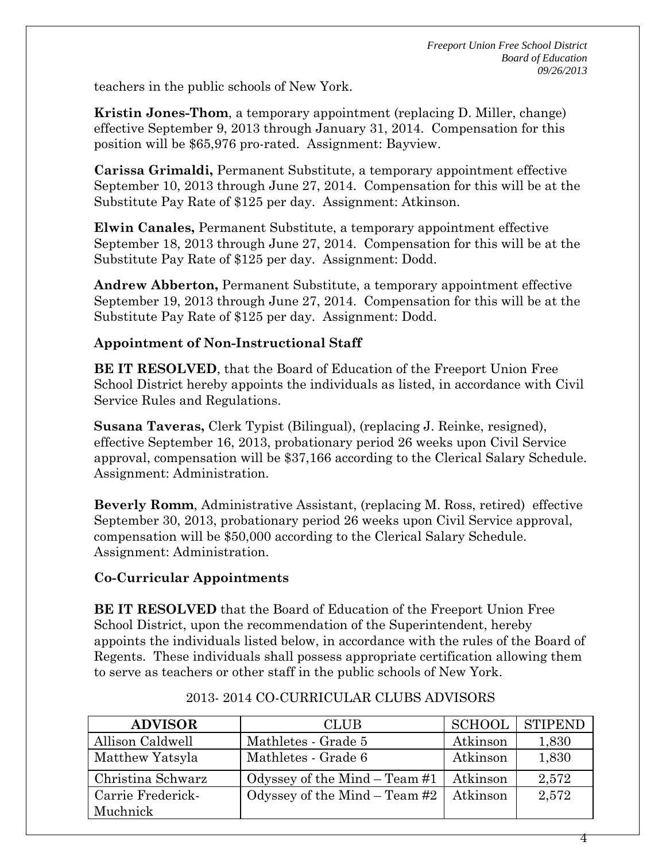teachers in the public schools of New York.

**Kristin Jones-Thom**, a temporary appointment (replacing D. Miller, change) effective September 9, 2013 through January 31, 2014. Compensation for this position will be \$65,976 pro-rated. Assignment: Bayview.

**Carissa Grimaldi,** Permanent Substitute, a temporary appointment effective September 10, 2013 through June 27, 2014. Compensation for this will be at the Substitute Pay Rate of \$125 per day. Assignment: Atkinson.

**Elwin Canales,** Permanent Substitute, a temporary appointment effective September 18, 2013 through June 27, 2014. Compensation for this will be at the Substitute Pay Rate of \$125 per day. Assignment: Dodd.

**Andrew Abberton,** Permanent Substitute, a temporary appointment effective September 19, 2013 through June 27, 2014. Compensation for this will be at the Substitute Pay Rate of \$125 per day. Assignment: Dodd.

### **Appointment of Non-Instructional Staff**

**BE IT RESOLVED**, that the Board of Education of the Freeport Union Free School District hereby appoints the individuals as listed, in accordance with Civil Service Rules and Regulations.

**Susana Taveras,** Clerk Typist (Bilingual), (replacing J. Reinke, resigned), effective September 16, 2013, probationary period 26 weeks upon Civil Service approval, compensation will be \$37,166 according to the Clerical Salary Schedule. Assignment: Administration.

**Beverly Romm**, Administrative Assistant, (replacing M. Ross, retired) effective September 30, 2013, probationary period 26 weeks upon Civil Service approval, compensation will be \$50,000 according to the Clerical Salary Schedule. Assignment: Administration.

### **Co-Curricular Appointments**

**BE IT RESOLVED** that the Board of Education of the Freeport Union Free School District, upon the recommendation of the Superintendent, hereby appoints the individuals listed below, in accordance with the rules of the Board of Regents. These individuals shall possess appropriate certification allowing them to serve as teachers or other staff in the public schools of New York.

| <b>ADVISOR</b>    | <b>CLUB</b>                     | SCHOOL   | <b>STIPEND</b> |
|-------------------|---------------------------------|----------|----------------|
| Allison Caldwell  | Mathletes - Grade 5             | Atkinson | 1,830          |
| Matthew Yatsyla   | Mathletes - Grade 6             | Atkinson | 1,830          |
| Christina Schwarz | Odyssey of the Mind – Team #1   | Atkinson | 2,572          |
| Carrie Frederick- | Odyssey of the Mind $-$ Team #2 | Atkinson | 2,572          |
| Muchnick          |                                 |          |                |

### 2013- 2014 CO-CURRICULAR CLUBS ADVISORS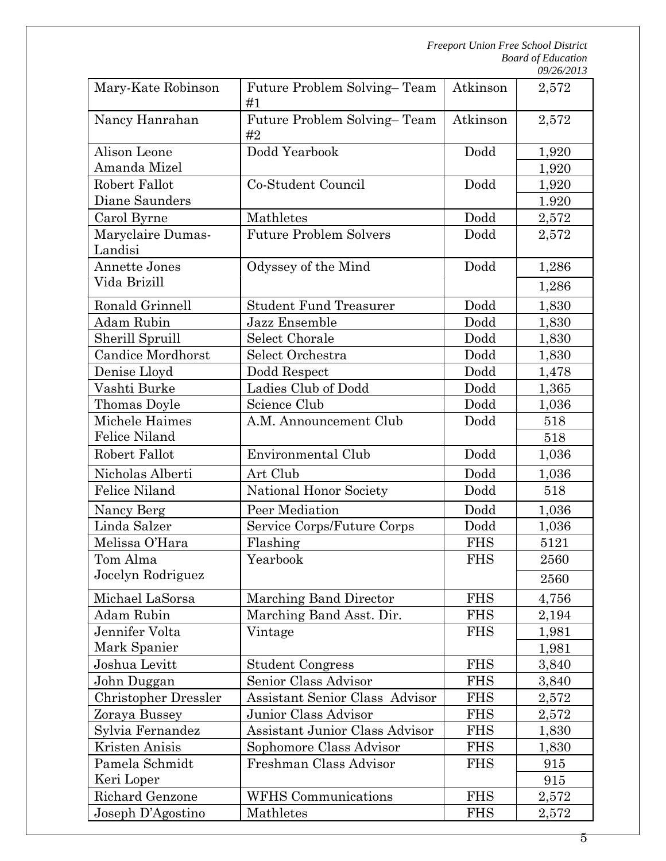| Mary-Kate Robinson           | Future Problem Solving-Team<br>#1     | Atkinson   | 2,572 |
|------------------------------|---------------------------------------|------------|-------|
| Nancy Hanrahan               | Future Problem Solving-Team<br>#2     | Atkinson   | 2,572 |
| Alison Leone                 | Dodd Yearbook                         | Dodd       | 1,920 |
| Amanda Mizel                 |                                       |            | 1,920 |
| Robert Fallot                | Co-Student Council                    | Dodd       | 1,920 |
| Diane Saunders               |                                       |            | 1.920 |
| Carol Byrne                  | Mathletes                             | Dodd       | 2,572 |
| Maryclaire Dumas-<br>Landisi | <b>Future Problem Solvers</b>         | Dodd       | 2,572 |
| Annette Jones                | Odyssey of the Mind                   | Dodd       | 1,286 |
| Vida Brizill                 |                                       |            | 1,286 |
| Ronald Grinnell              | <b>Student Fund Treasurer</b>         | Dodd       | 1,830 |
| Adam Rubin                   | Jazz Ensemble                         | Dodd       | 1,830 |
| Sherill Spruill              | Select Chorale                        | Dodd       | 1,830 |
| Candice Mordhorst            | Select Orchestra                      | Dodd       | 1,830 |
| Denise Lloyd                 | Dodd Respect                          | Dodd       | 1,478 |
| Vashti Burke                 | Ladies Club of Dodd                   | Dodd       | 1,365 |
| Thomas Doyle                 | Science Club                          | Dodd       | 1,036 |
| Michele Haimes               | A.M. Announcement Club                | Dodd       | 518   |
| Felice Niland                |                                       |            | 518   |
| Robert Fallot                | Environmental Club                    | Dodd       | 1,036 |
| Nicholas Alberti             | Art Club                              | Dodd       | 1,036 |
| Felice Niland                | National Honor Society                | Dodd       | 518   |
| Nancy Berg                   | Peer Mediation                        | Dodd       | 1,036 |
| Linda Salzer                 | Service Corps/Future Corps            | Dodd       | 1,036 |
| Melissa O'Hara               | Flashing                              | <b>FHS</b> | 5121  |
| Tom Alma                     | Yearbook                              | <b>FHS</b> | 2560  |
| Jocelyn Rodriguez            |                                       |            | 2560  |
| Michael LaSorsa              | Marching Band Director                | <b>FHS</b> | 4,756 |
| <b>Adam Rubin</b>            | Marching Band Asst. Dir.              | <b>FHS</b> | 2,194 |
| Jennifer Volta               | Vintage                               | <b>FHS</b> | 1,981 |
| Mark Spanier                 |                                       |            | 1,981 |
| Joshua Levitt                | <b>Student Congress</b>               | <b>FHS</b> | 3,840 |
| John Duggan                  | Senior Class Advisor                  | <b>FHS</b> | 3,840 |
| <b>Christopher Dressler</b>  | <b>Assistant Senior Class Advisor</b> | <b>FHS</b> | 2,572 |
| Zoraya Bussey                | Junior Class Advisor                  | <b>FHS</b> | 2,572 |
| Sylvia Fernandez             | Assistant Junior Class Advisor        | <b>FHS</b> | 1,830 |
| Kristen Anisis               | Sophomore Class Advisor               | <b>FHS</b> | 1,830 |
| Pamela Schmidt               | Freshman Class Advisor                | <b>FHS</b> | 915   |
| Keri Loper                   |                                       |            | 915   |
| Richard Genzone              | <b>WFHS</b> Communications            | <b>FHS</b> | 2,572 |
| Joseph D'Agostino            | Mathletes                             | <b>FHS</b> | 2,572 |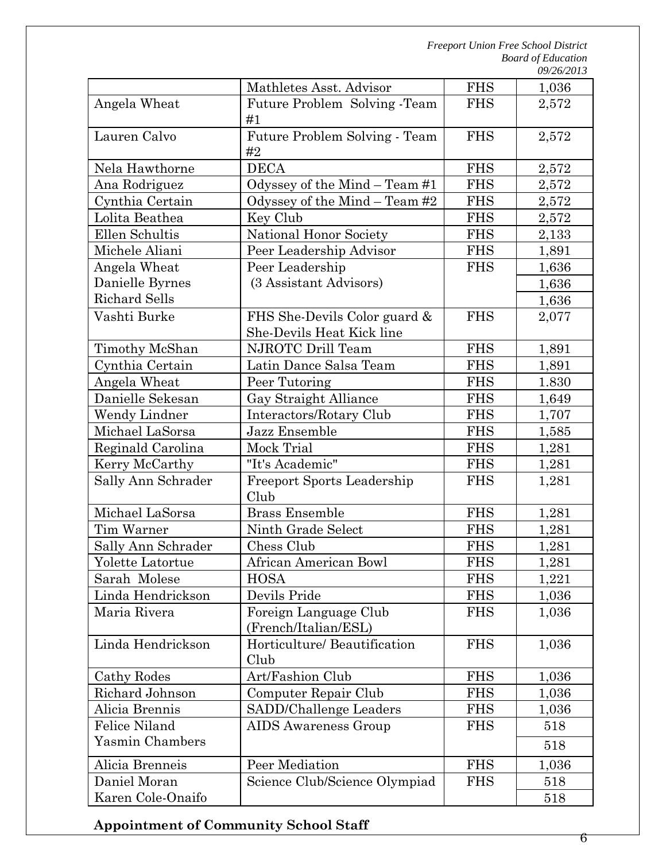|                      |                                                           |            | 09/26/2013 |
|----------------------|-----------------------------------------------------------|------------|------------|
|                      | Mathletes Asst. Advisor                                   | <b>FHS</b> | 1,036      |
| Angela Wheat         | Future Problem Solving - Team<br>#1                       | <b>FHS</b> | 2,572      |
| Lauren Calvo         | Future Problem Solving - Team<br>#2                       | <b>FHS</b> | 2,572      |
| Nela Hawthorne       | <b>DECA</b>                                               | <b>FHS</b> | 2,572      |
| Ana Rodriguez        | Odyssey of the Mind - Team #1                             | <b>FHS</b> | 2,572      |
| Cynthia Certain      | Odyssey of the Mind - Team #2                             | <b>FHS</b> | 2,572      |
| Lolita Beathea       | Key Club                                                  | <b>FHS</b> | 2,572      |
| Ellen Schultis       | National Honor Society                                    | <b>FHS</b> | 2,133      |
| Michele Aliani       | Peer Leadership Advisor                                   | <b>FHS</b> | 1,891      |
| Angela Wheat         | Peer Leadership                                           | <b>FHS</b> | 1,636      |
| Danielle Byrnes      | (3 Assistant Advisors)                                    |            | 1,636      |
| <b>Richard Sells</b> |                                                           |            | 1,636      |
| Vashti Burke         | FHS She-Devils Color guard &<br>She-Devils Heat Kick line | <b>FHS</b> | 2,077      |
| Timothy McShan       | NJROTC Drill Team                                         | <b>FHS</b> | 1,891      |
| Cynthia Certain      | Latin Dance Salsa Team                                    | <b>FHS</b> | 1,891      |
| Angela Wheat         | Peer Tutoring                                             | <b>FHS</b> | 1.830      |
| Danielle Sekesan     | Gay Straight Alliance                                     | <b>FHS</b> | 1,649      |
| Wendy Lindner        | Interactors/Rotary Club                                   | <b>FHS</b> | 1,707      |
| Michael LaSorsa      | Jazz Ensemble                                             | <b>FHS</b> | 1,585      |
| Reginald Carolina    | Mock Trial                                                | <b>FHS</b> | 1,281      |
| Kerry McCarthy       | "It's Academic"                                           | <b>FHS</b> | 1,281      |
| Sally Ann Schrader   | <b>Freeport Sports Leadership</b><br>Club                 | <b>FHS</b> | 1,281      |
| Michael LaSorsa      | <b>Brass Ensemble</b>                                     | <b>FHS</b> | 1,281      |
| Tim Warner           | Ninth Grade Select                                        | <b>FHS</b> | 1,281      |
| Sally Ann Schrader   | Chess Club                                                | <b>FHS</b> | 1,281      |
| Yolette Latortue     | African American Bowl                                     | <b>FHS</b> | 1,281      |
| Sarah Molese         | <b>HOSA</b>                                               | <b>FHS</b> | 1,221      |
| Linda Hendrickson    | Devils Pride                                              | <b>FHS</b> | 1,036      |
| Maria Rivera         | Foreign Language Club<br>(French/Italian/ESL)             | <b>FHS</b> | 1,036      |
| Linda Hendrickson    | Horticulture/ Beautification<br>Club                      | <b>FHS</b> | 1,036      |
| Cathy Rodes          | Art/Fashion Club                                          | <b>FHS</b> | 1,036      |
| Richard Johnson      | Computer Repair Club                                      | <b>FHS</b> | 1,036      |
| Alicia Brennis       | SADD/Challenge Leaders                                    | <b>FHS</b> | 1,036      |
| <b>Felice Niland</b> | <b>AIDS</b> Awareness Group                               | <b>FHS</b> | 518        |
| Yasmin Chambers      |                                                           |            | 518        |
| Alicia Brenneis      | Peer Mediation                                            | <b>FHS</b> | 1,036      |
| Daniel Moran         | Science Club/Science Olympiad                             | <b>FHS</b> | 518        |
| Karen Cole-Onaifo    |                                                           |            | 518        |

**Appointment of Community School Staff**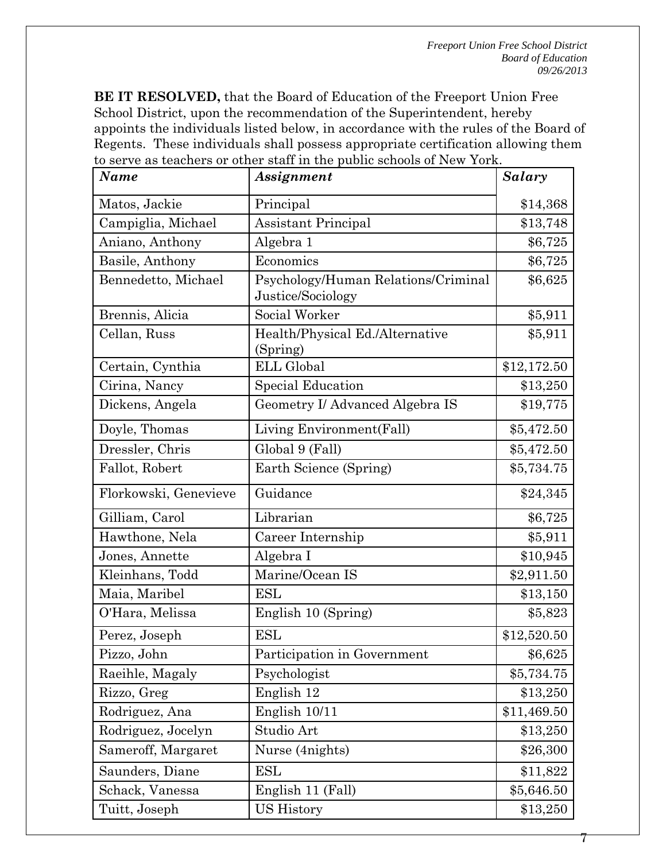**BE IT RESOLVED,** that the Board of Education of the Freeport Union Free School District, upon the recommendation of the Superintendent, hereby appoints the individuals listed below, in accordance with the rules of the Board of Regents. These individuals shall possess appropriate certification allowing them to serve as teachers or other staff in the public schools of New York.

| Name                  | $\sim$ as reachers of center stati in the passive sensons of FIGW FOR<br>Assignment | Salary      |
|-----------------------|-------------------------------------------------------------------------------------|-------------|
| Matos, Jackie         | Principal                                                                           | \$14,368    |
| Campiglia, Michael    | <b>Assistant Principal</b>                                                          | \$13,748    |
| Aniano, Anthony       | Algebra 1                                                                           | \$6,725     |
| Basile, Anthony       | Economics                                                                           | \$6,725     |
| Bennedetto, Michael   | Psychology/Human Relations/Criminal<br>Justice/Sociology                            | \$6,625     |
| Brennis, Alicia       | Social Worker                                                                       | \$5,911     |
| Cellan, Russ          | Health/Physical Ed./Alternative<br>(Spring)                                         | \$5,911     |
| Certain, Cynthia      | <b>ELL Global</b>                                                                   | \$12,172.50 |
| Cirina, Nancy         | Special Education                                                                   | \$13,250    |
| Dickens, Angela       | Geometry I/ Advanced Algebra IS                                                     | \$19,775    |
| Doyle, Thomas         | Living Environment(Fall)                                                            | \$5,472.50  |
| Dressler, Chris       | Global 9 (Fall)                                                                     | \$5,472.50  |
| Fallot, Robert        | Earth Science (Spring)                                                              | \$5,734.75  |
| Florkowski, Genevieve | Guidance                                                                            | \$24,345    |
| Gilliam, Carol        | Librarian                                                                           | \$6,725     |
| Hawthone, Nela        | Career Internship                                                                   | \$5,911     |
| Jones, Annette        | Algebra I                                                                           | \$10,945    |
| Kleinhans, Todd       | Marine/Ocean IS                                                                     | \$2,911.50  |
| Maia, Maribel         | <b>ESL</b>                                                                          | \$13,150    |
| O'Hara, Melissa       | English 10 (Spring)                                                                 | \$5,823     |
| Perez, Joseph         | <b>ESL</b>                                                                          | \$12,520.50 |
| Pizzo, John           | Participation in Government                                                         | \$6,625     |
| Raeihle, Magaly       | Psychologist                                                                        | \$5,734.75  |
| Rizzo, Greg           | English 12                                                                          | \$13,250    |
| Rodriguez, Ana        | English 10/11                                                                       | \$11,469.50 |
| Rodriguez, Jocelyn    | Studio Art                                                                          | \$13,250    |
| Sameroff, Margaret    | Nurse (4 nights)                                                                    | \$26,300    |
| Saunders, Diane       | ESL                                                                                 | \$11,822    |
| Schack, Vanessa       | English 11 (Fall)                                                                   | \$5,646.50  |
| Tuitt, Joseph         | US History                                                                          | \$13,250    |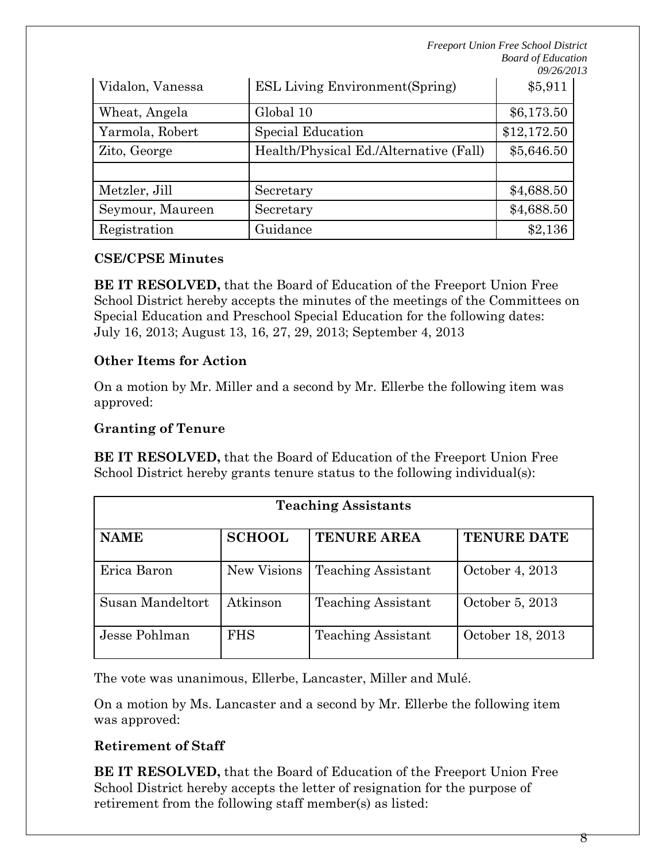| Vidalon, Vanessa | <b>ESL Living Environment (Spring)</b> | \$5,911     |
|------------------|----------------------------------------|-------------|
| Wheat, Angela    | Global 10                              | \$6,173.50  |
| Yarmola, Robert  | Special Education                      | \$12,172.50 |
| Zito, George     | Health/Physical Ed./Alternative (Fall) | \$5,646.50  |
|                  |                                        |             |
| Metzler, Jill    | Secretary                              | \$4,688.50  |
| Seymour, Maureen | Secretary                              | \$4,688.50  |
| Registration     | Guidance                               | \$2,136     |

### **CSE/CPSE Minutes**

**BE IT RESOLVED,** that the Board of Education of the Freeport Union Free School District hereby accepts the minutes of the meetings of the Committees on Special Education and Preschool Special Education for the following dates: July 16, 2013; August 13, 16, 27, 29, 2013; September 4, 2013

### **Other Items for Action**

On a motion by Mr. Miller and a second by Mr. Ellerbe the following item was approved:

## **Granting of Tenure**

**BE IT RESOLVED,** that the Board of Education of the Freeport Union Free School District hereby grants tenure status to the following individual(s):

| <b>Teaching Assistants</b> |               |                           |                    |  |
|----------------------------|---------------|---------------------------|--------------------|--|
| <b>NAME</b>                | <b>SCHOOL</b> | <b>TENURE AREA</b>        | <b>TENURE DATE</b> |  |
| Erica Baron                | New Visions   | <b>Teaching Assistant</b> | October 4, 2013    |  |
| Susan Mandeltort           | Atkinson      | <b>Teaching Assistant</b> | October 5, 2013    |  |
| Jesse Pohlman              | <b>FHS</b>    | <b>Teaching Assistant</b> | October 18, 2013   |  |

The vote was unanimous, Ellerbe, Lancaster, Miller and Mulé.

On a motion by Ms. Lancaster and a second by Mr. Ellerbe the following item was approved:

# **Retirement of Staff**

**BE IT RESOLVED,** that the Board of Education of the Freeport Union Free School District hereby accepts the letter of resignation for the purpose of retirement from the following staff member(s) as listed: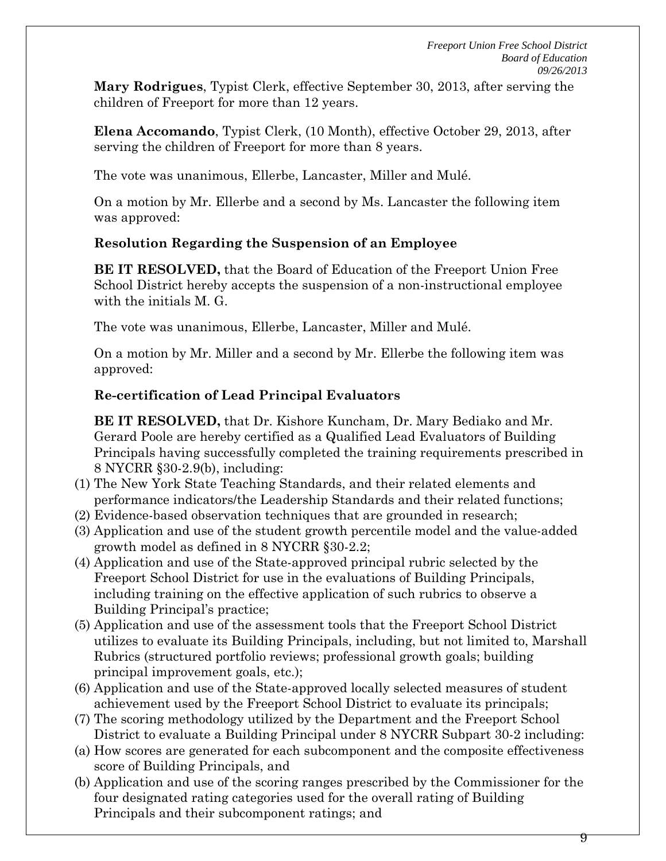**Mary Rodrigues**, Typist Clerk, effective September 30, 2013, after serving the children of Freeport for more than 12 years.

**Elena Accomando**, Typist Clerk, (10 Month), effective October 29, 2013, after serving the children of Freeport for more than 8 years.

The vote was unanimous, Ellerbe, Lancaster, Miller and Mulé.

On a motion by Mr. Ellerbe and a second by Ms. Lancaster the following item was approved:

# **Resolution Regarding the Suspension of an Employee**

**BE IT RESOLVED,** that the Board of Education of the Freeport Union Free School District hereby accepts the suspension of a non-instructional employee with the initials M. G.

The vote was unanimous, Ellerbe, Lancaster, Miller and Mulé.

On a motion by Mr. Miller and a second by Mr. Ellerbe the following item was approved:

# **Re-certification of Lead Principal Evaluators**

**BE IT RESOLVED,** that Dr. Kishore Kuncham, Dr. Mary Bediako and Mr. Gerard Poole are hereby certified as a Qualified Lead Evaluators of Building Principals having successfully completed the training requirements prescribed in 8 NYCRR §30-2.9(b), including:

- (1) The New York State Teaching Standards, and their related elements and performance indicators/the Leadership Standards and their related functions;
- (2) Evidence-based observation techniques that are grounded in research;
- (3) Application and use of the student growth percentile model and the value-added growth model as defined in 8 NYCRR §30-2.2;
- (4) Application and use of the State-approved principal rubric selected by the Freeport School District for use in the evaluations of Building Principals, including training on the effective application of such rubrics to observe a Building Principal's practice;
- (5) Application and use of the assessment tools that the Freeport School District utilizes to evaluate its Building Principals, including, but not limited to, Marshall Rubrics (structured portfolio reviews; professional growth goals; building principal improvement goals, etc.);
- (6) Application and use of the State-approved locally selected measures of student achievement used by the Freeport School District to evaluate its principals;
- (7) The scoring methodology utilized by the Department and the Freeport School District to evaluate a Building Principal under 8 NYCRR Subpart 30-2 including:
- (a) How scores are generated for each subcomponent and the composite effectiveness score of Building Principals, and
- (b) Application and use of the scoring ranges prescribed by the Commissioner for the four designated rating categories used for the overall rating of Building Principals and their subcomponent ratings; and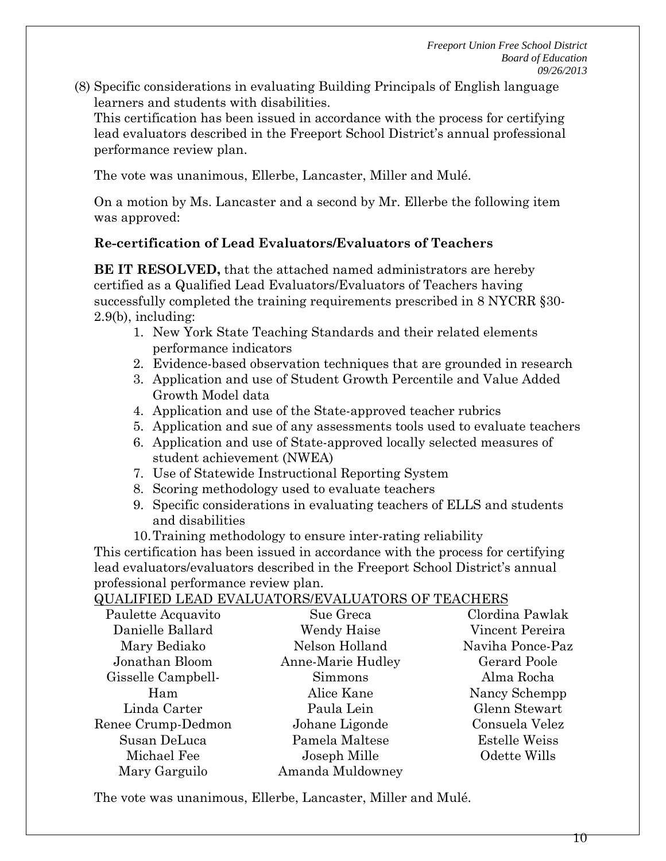(8) Specific considerations in evaluating Building Principals of English language learners and students with disabilities.

This certification has been issued in accordance with the process for certifying lead evaluators described in the Freeport School District's annual professional performance review plan.

The vote was unanimous, Ellerbe, Lancaster, Miller and Mulé.

On a motion by Ms. Lancaster and a second by Mr. Ellerbe the following item was approved:

### **Re-certification of Lead Evaluators/Evaluators of Teachers**

**BE IT RESOLVED,** that the attached named administrators are hereby certified as a Qualified Lead Evaluators/Evaluators of Teachers having successfully completed the training requirements prescribed in 8 NYCRR §30- 2.9(b), including:

- 1. New York State Teaching Standards and their related elements performance indicators
- 2. Evidence-based observation techniques that are grounded in research
- 3. Application and use of Student Growth Percentile and Value Added Growth Model data
- 4. Application and use of the State-approved teacher rubrics
- 5. Application and sue of any assessments tools used to evaluate teachers
- 6. Application and use of State-approved locally selected measures of student achievement (NWEA)
- 7. Use of Statewide Instructional Reporting System
- 8. Scoring methodology used to evaluate teachers
- 9. Specific considerations in evaluating teachers of ELLS and students and disabilities
- 10.Training methodology to ensure inter-rating reliability

This certification has been issued in accordance with the process for certifying lead evaluators/evaluators described in the Freeport School District's annual professional performance review plan.

### QUALIFIED LEAD EVALUATORS/EVALUATORS OF TEACHERS

|                    | gorman no bon'ny orana dia GMT+1.1001.1101.110 dia mampiasa ny |                      |
|--------------------|----------------------------------------------------------------|----------------------|
| Paulette Acquavito | Sue Greca                                                      | Clordina Pawlak      |
| Danielle Ballard   | Wendy Haise                                                    | Vincent Pereira      |
| Mary Bediako       | Nelson Holland                                                 | Naviha Ponce-Paz     |
| Jonathan Bloom     | Anne-Marie Hudley                                              | Gerard Poole         |
| Gisselle Campbell- | <b>Simmons</b>                                                 | Alma Rocha           |
| Ham                | Alice Kane                                                     | Nancy Schempp        |
| Linda Carter       | Paula Lein                                                     | Glenn Stewart        |
| Renee Crump-Dedmon | Johane Ligonde                                                 | Consuela Velez       |
| Susan DeLuca       | Pamela Maltese                                                 | <b>Estelle Weiss</b> |
| Michael Fee        | Joseph Mille                                                   | Odette Wills         |
| Mary Garguilo      | Amanda Muldowney                                               |                      |

The vote was unanimous, Ellerbe, Lancaster, Miller and Mulé.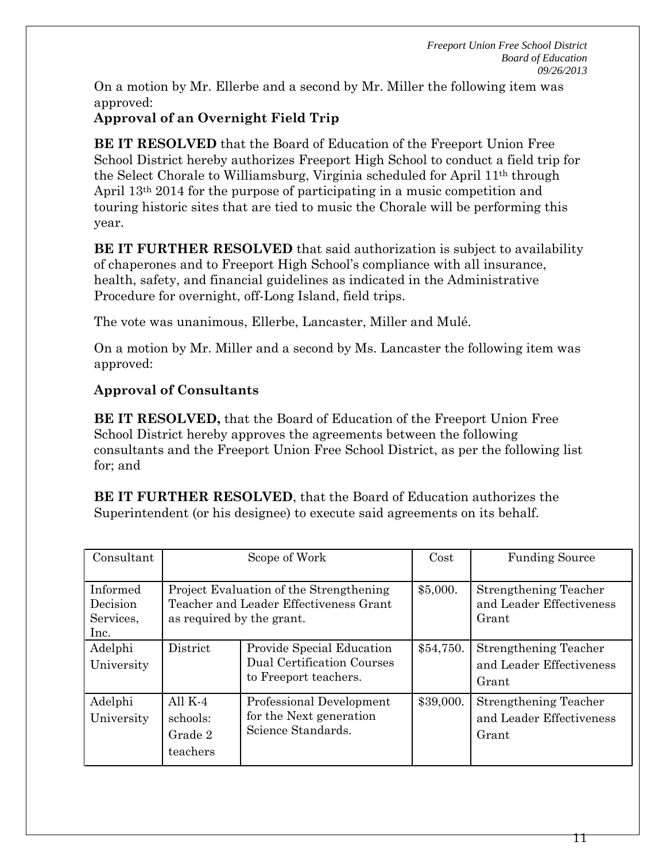On a motion by Mr. Ellerbe and a second by Mr. Miller the following item was approved:

## **Approval of an Overnight Field Trip**

**BE IT RESOLVED** that the Board of Education of the Freeport Union Free School District hereby authorizes Freeport High School to conduct a field trip for the Select Chorale to Williamsburg, Virginia scheduled for April 11th through April 13th 2014 for the purpose of participating in a music competition and touring historic sites that are tied to music the Chorale will be performing this year.

**BE IT FURTHER RESOLVED** that said authorization is subject to availability of chaperones and to Freeport High School's compliance with all insurance, health, safety, and financial guidelines as indicated in the Administrative Procedure for overnight, off-Long Island, field trips.

The vote was unanimous, Ellerbe, Lancaster, Miller and Mulé.

On a motion by Mr. Miller and a second by Ms. Lancaster the following item was approved:

# **Approval of Consultants**

**BE IT RESOLVED,** that the Board of Education of the Freeport Union Free School District hereby approves the agreements between the following consultants and the Freeport Union Free School District, as per the following list for; and

**BE IT FURTHER RESOLVED**, that the Board of Education authorizes the Superintendent (or his designee) to execute said agreements on its behalf.

| Consultant                                | Scope of Work                                                                                                  |                                                                                         | Cost      | <b>Funding Source</b>                                             |
|-------------------------------------------|----------------------------------------------------------------------------------------------------------------|-----------------------------------------------------------------------------------------|-----------|-------------------------------------------------------------------|
| Informed<br>Decision<br>Services,<br>Inc. | Project Evaluation of the Strengthening<br>Teacher and Leader Effectiveness Grant<br>as required by the grant. |                                                                                         | \$5,000.  | Strengthening Teacher<br>and Leader Effectiveness<br>Grant        |
| Adelphi<br>University                     | District                                                                                                       | Provide Special Education<br><b>Dual Certification Courses</b><br>to Freeport teachers. | \$54,750. | <b>Strengthening Teacher</b><br>and Leader Effectiveness<br>Grant |
| Adelphi<br>University                     | All $K-4$<br>schools:<br>Grade 2<br>teachers                                                                   | Professional Development<br>for the Next generation<br>Science Standards.               | \$39,000. | Strengthening Teacher<br>and Leader Effectiveness<br>Grant        |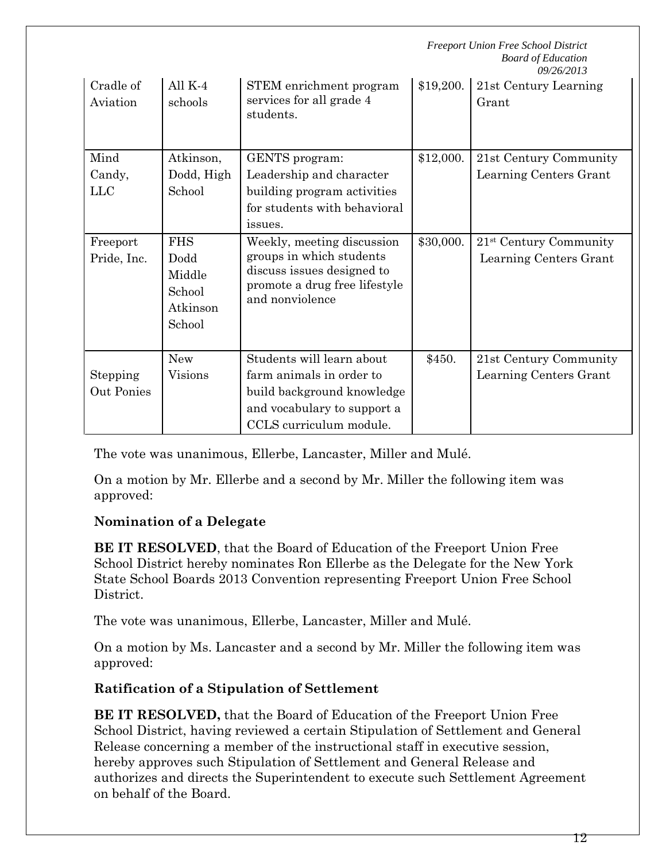|                              |                                                              | <b>Freeport Union Free School District</b><br><b>Board of Education</b><br>09/26/2013                                                         |           |                                                              |
|------------------------------|--------------------------------------------------------------|-----------------------------------------------------------------------------------------------------------------------------------------------|-----------|--------------------------------------------------------------|
| Cradle of<br>Aviation        | All $K-4$<br>schools                                         | STEM enrichment program<br>services for all grade 4<br>students.                                                                              | \$19,200. | 21st Century Learning<br>Grant                               |
| Mind<br>Candy,<br><b>LLC</b> | Atkinson,<br>Dodd, High<br>School                            | GENTS program:<br>Leadership and character<br>building program activities<br>for students with behavioral<br>issues.                          | \$12,000. | 21st Century Community<br>Learning Centers Grant             |
| Freeport<br>Pride, Inc.      | <b>FHS</b><br>Dodd<br>Middle<br>School<br>Atkinson<br>School | Weekly, meeting discussion<br>groups in which students<br>discuss issues designed to<br>promote a drug free lifestyle<br>and nonviolence      | \$30,000. | 21 <sup>st</sup> Century Community<br>Learning Centers Grant |
| Stepping<br>Out Ponies       | <b>New</b><br><b>Visions</b>                                 | Students will learn about<br>farm animals in order to<br>build background knowledge<br>and vocabulary to support a<br>CCLS curriculum module. | \$450.    | 21st Century Community<br>Learning Centers Grant             |

The vote was unanimous, Ellerbe, Lancaster, Miller and Mulé.

On a motion by Mr. Ellerbe and a second by Mr. Miller the following item was approved:

## **Nomination of a Delegate**

**BE IT RESOLVED**, that the Board of Education of the Freeport Union Free School District hereby nominates Ron Ellerbe as the Delegate for the New York State School Boards 2013 Convention representing Freeport Union Free School District.

The vote was unanimous, Ellerbe, Lancaster, Miller and Mulé.

On a motion by Ms. Lancaster and a second by Mr. Miller the following item was approved:

## **Ratification of a Stipulation of Settlement**

**BE IT RESOLVED,** that the Board of Education of the Freeport Union Free School District, having reviewed a certain Stipulation of Settlement and General Release concerning a member of the instructional staff in executive session, hereby approves such Stipulation of Settlement and General Release and authorizes and directs the Superintendent to execute such Settlement Agreement on behalf of the Board.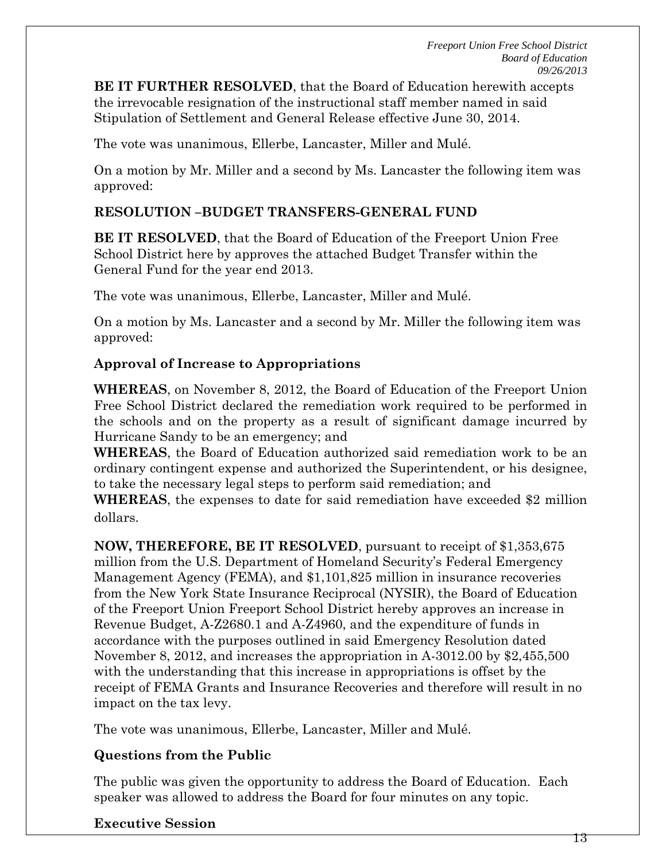**BE IT FURTHER RESOLVED**, that the Board of Education herewith accepts the irrevocable resignation of the instructional staff member named in said Stipulation of Settlement and General Release effective June 30, 2014.

The vote was unanimous, Ellerbe, Lancaster, Miller and Mulé.

On a motion by Mr. Miller and a second by Ms. Lancaster the following item was approved:

### **RESOLUTION –BUDGET TRANSFERS-GENERAL FUND**

**BE IT RESOLVED**, that the Board of Education of the Freeport Union Free School District here by approves the attached Budget Transfer within the General Fund for the year end 2013.

The vote was unanimous, Ellerbe, Lancaster, Miller and Mulé.

On a motion by Ms. Lancaster and a second by Mr. Miller the following item was approved:

### **Approval of Increase to Appropriations**

**WHEREAS**, on November 8, 2012, the Board of Education of the Freeport Union Free School District declared the remediation work required to be performed in the schools and on the property as a result of significant damage incurred by Hurricane Sandy to be an emergency; and

**WHEREAS**, the Board of Education authorized said remediation work to be an ordinary contingent expense and authorized the Superintendent, or his designee, to take the necessary legal steps to perform said remediation; and

**WHEREAS**, the expenses to date for said remediation have exceeded \$2 million dollars.

**NOW, THEREFORE, BE IT RESOLVED**, pursuant to receipt of \$1,353,675 million from the U.S. Department of Homeland Security's Federal Emergency Management Agency (FEMA), and \$1,101,825 million in insurance recoveries from the New York State Insurance Reciprocal (NYSIR), the Board of Education of the Freeport Union Freeport School District hereby approves an increase in Revenue Budget, A-Z2680.1 and A-Z4960, and the expenditure of funds in accordance with the purposes outlined in said Emergency Resolution dated November 8, 2012, and increases the appropriation in A-3012.00 by \$2,455,500 with the understanding that this increase in appropriations is offset by the receipt of FEMA Grants and Insurance Recoveries and therefore will result in no impact on the tax levy.

The vote was unanimous, Ellerbe, Lancaster, Miller and Mulé.

## **Questions from the Public**

The public was given the opportunity to address the Board of Education. Each speaker was allowed to address the Board for four minutes on any topic.

### **Executive Session**